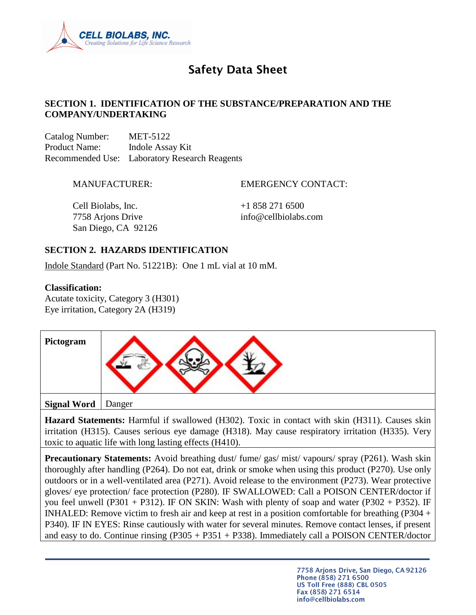

# **Safety Data Sheet**

#### **SECTION 1. IDENTIFICATION OF THE SUBSTANCE/PREPARATION AND THE COMPANY/UNDERTAKING**

Catalog Number: MET-5122 Product Name: Indole Assay Kit Recommended Use: Laboratory Research Reagents

MANUFACTURER: EMERGENCY CONTACT:

Cell Biolabs, Inc.  $+18582716500$ 7758 Arjons Drive info@cellbiolabs.com San Diego, CA 92126

# **SECTION 2. HAZARDS IDENTIFICATION**

Indole Standard (Part No. 51221B): One 1 mL vial at 10 mM.

#### **Classification:**

Acutate toxicity, Category 3 (H301) Eye irritation, Category 2A (H319)



**Hazard Statements:** Harmful if swallowed (H302). Toxic in contact with skin (H311). Causes skin irritation (H315). Causes serious eye damage (H318). May cause respiratory irritation (H335). Very toxic to aquatic life with long lasting effects (H410).

**Precautionary Statements:** Avoid breathing dust/ fume/ gas/ mist/ vapours/ spray (P261). Wash skin thoroughly after handling (P264). Do not eat, drink or smoke when using this product (P270). Use only outdoors or in a well-ventilated area (P271). Avoid release to the environment (P273). Wear protective gloves/ eye protection/ face protection (P280). IF SWALLOWED: Call a POISON CENTER/doctor if you feel unwell  $(P301 + P312)$ . IF ON SKIN: Wash with plenty of soap and water  $(P302 + P352)$ . IF INHALED: Remove victim to fresh air and keep at rest in a position comfortable for breathing (P304 + P340). IF IN EYES: Rinse cautiously with water for several minutes. Remove contact lenses, if present and easy to do. Continue rinsing  $(P305 + P351 + P338)$ . Immediately call a POISON CENTER/doctor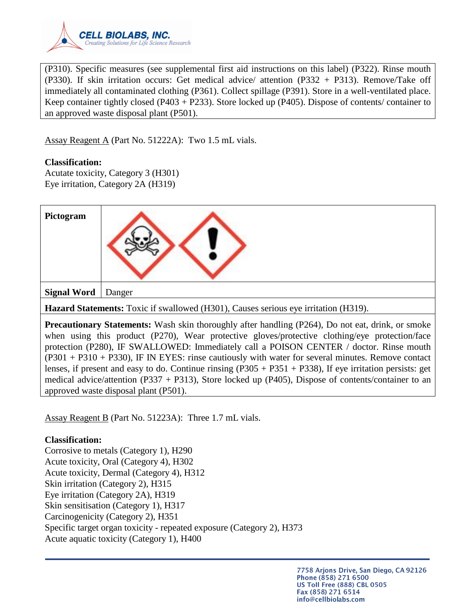

(P310). Specific measures (see supplemental first aid instructions on this label) (P322). Rinse mouth (P330). If skin irritation occurs: Get medical advice/ attention (P332 + P313). Remove/Take off immediately all contaminated clothing (P361). Collect spillage (P391). Store in a well-ventilated place. Keep container tightly closed (P403 + P233). Store locked up (P405). Dispose of contents/ container to an approved waste disposal plant (P501).

Assay Reagent A (Part No. 51222A): Two 1.5 mL vials.

#### **Classification:**

Acutate toxicity, Category 3 (H301) Eye irritation, Category 2A (H319)

| Pictogram          |                                                                                                                                                                                                           |
|--------------------|-----------------------------------------------------------------------------------------------------------------------------------------------------------------------------------------------------------|
| <b>Signal Word</b> | Danger                                                                                                                                                                                                    |
|                    | Hazard Statements: Toxic if swallowed (H301), Causes serious eye irritation (H319).                                                                                                                       |
|                    | <b>Precautionary Statements:</b> Wash skin thoroughly after handling (P264), Do not eat, drink, or smoke<br>when using this product (DO70) Wear protective gloves/protective clothing/eye protection/face |

when using this product (P270), Wear protective gloves/protective clothing/eye protection/face protection (P280), IF SWALLOWED: Immediately call a POISON CENTER / doctor. Rinse mouth (P301 + P310 + P330), IF IN EYES: rinse cautiously with water for several minutes. Remove contact lenses, if present and easy to do. Continue rinsing  $(P305 + P351 + P338)$ , If eye irritation persists: get medical advice/attention (P337 + P313), Store locked up (P405), Dispose of contents/container to an approved waste disposal plant (P501).

Assay Reagent B (Part No. 51223A): Three 1.7 mL vials.

#### **Classification:**

Corrosive to metals (Category 1), H290 Acute toxicity, Oral (Category 4), H302 Acute toxicity, Dermal (Category 4), H312 Skin irritation (Category 2), H315 Eye irritation (Category 2A), H319 Skin sensitisation (Category 1), H317 Carcinogenicity (Category 2), H351 Specific target organ toxicity - repeated exposure (Category 2), H373 Acute aquatic toxicity (Category 1), H400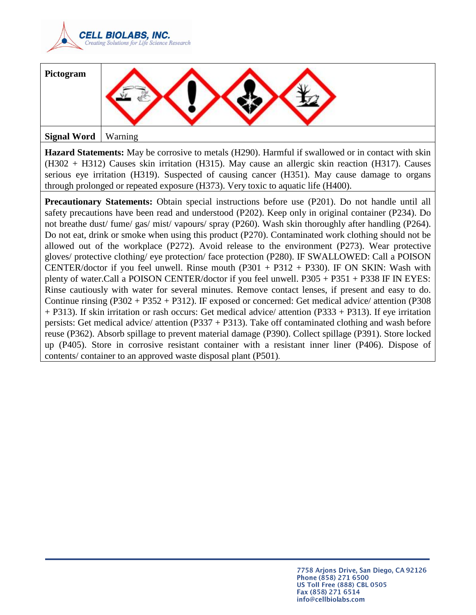

| Pictogram          |         |
|--------------------|---------|
| <b>Signal Word</b> | Warning |

**Hazard Statements:** May be corrosive to metals (H290). Harmful if swallowed or in contact with skin (H302 + H312) Causes skin irritation (H315). May cause an allergic skin reaction (H317). Causes serious eye irritation (H319). Suspected of causing cancer (H351). May cause damage to organs through prolonged or repeated exposure (H373). Very toxic to aquatic life (H400).

**Precautionary Statements:** Obtain special instructions before use (P201). Do not handle until all safety precautions have been read and understood (P202). Keep only in original container (P234). Do not breathe dust/ fume/ gas/ mist/ vapours/ spray (P260). Wash skin thoroughly after handling (P264). Do not eat, drink or smoke when using this product (P270). Contaminated work clothing should not be allowed out of the workplace (P272). Avoid release to the environment (P273). Wear protective gloves/ protective clothing/ eye protection/ face protection (P280). IF SWALLOWED: Call a POISON CENTER/doctor if you feel unwell. Rinse mouth  $(P301 + P312 + P330)$ . IF ON SKIN: Wash with plenty of water.Call a POISON CENTER/doctor if you feel unwell. P305 + P351 + P338 IF IN EYES: Rinse cautiously with water for several minutes. Remove contact lenses, if present and easy to do. Continue rinsing (P302 + P352 + P312). IF exposed or concerned: Get medical advice/ attention (P308 + P313). If skin irritation or rash occurs: Get medical advice/ attention (P333 + P313). If eye irritation persists: Get medical advice/ attention (P337 + P313). Take off contaminated clothing and wash before reuse (P362). Absorb spillage to prevent material damage (P390). Collect spillage (P391). Store locked up (P405). Store in corrosive resistant container with a resistant inner liner (P406). Dispose of contents/ container to an approved waste disposal plant (P501).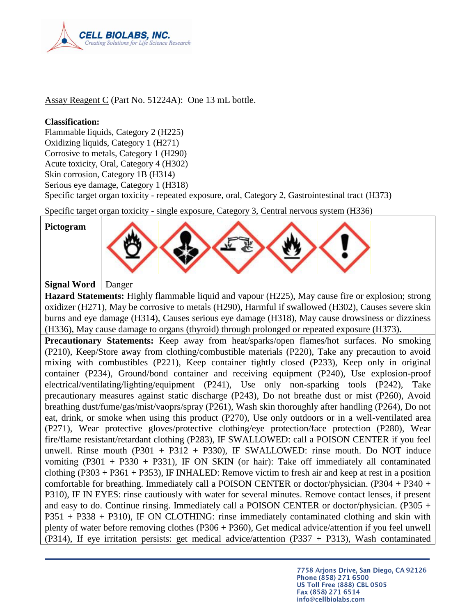

Assay Reagent C (Part No. 51224A): One 13 mL bottle.

#### **Classification:**

Flammable liquids, Category 2 (H225) Oxidizing liquids, Category 1 (H271) Corrosive to metals, Category 1 (H290) Acute toxicity, Oral, Category 4 (H302) Skin corrosion, Category 1B (H314)

Serious eye damage, Category 1 (H318)

Specific target organ toxicity - repeated exposure, oral, Category 2, Gastrointestinal tract (H373)

Specific target organ toxicity - single exposure, Category 3, Central nervous system (H336)

| Pictogram |  |
|-----------|--|
|           |  |

**Signal Word** Danger

**Hazard Statements:** Highly flammable liquid and vapour (H225), May cause fire or explosion; strong oxidizer (H271), May be corrosive to metals (H290), Harmful if swallowed (H302), Causes severe skin burns and eye damage (H314), Causes serious eye damage (H318), May cause drowsiness or dizziness (H336), May cause damage to organs (thyroid) through prolonged or repeated exposure (H373).

**Precautionary Statements:** Keep away from heat/sparks/open flames/hot surfaces. No smoking (P210), Keep/Store away from clothing/combustible materials (P220), Take any precaution to avoid mixing with combustibles (P221), Keep container tightly closed (P233), Keep only in original container (P234), Ground/bond container and receiving equipment (P240), Use explosion-proof electrical/ventilating/lighting/equipment (P241), Use only non-sparking tools (P242), Take precautionary measures against static discharge (P243), Do not breathe dust or mist (P260), Avoid breathing dust/fume/gas/mist/vaoprs/spray (P261), Wash skin thoroughly after handling (P264), Do not eat, drink, or smoke when using this product (P270), Use only outdoors or in a well-ventilated area (P271), Wear protective gloves/protective clothing/eye protection/face protection (P280), Wear fire/flame resistant/retardant clothing (P283), IF SWALLOWED: call a POISON CENTER if you feel unwell. Rinse mouth  $(P301 + P312 + P330)$ , IF SWALLOWED: rinse mouth. Do NOT induce vomiting  $(P301 + P330 + P331)$ , IF ON SKIN (or hair): Take off immediately all contaminated clothing  $(P303 + P361 + P353)$ , IF INHALED: Remove victim to fresh air and keep at rest in a position comfortable for breathing. Immediately call a POISON CENTER or doctor/physician. (P304 + P340 + P310), IF IN EYES: rinse cautiously with water for several minutes. Remove contact lenses, if present and easy to do. Continue rinsing. Immediately call a POISON CENTER or doctor/physician. (P305 + P351 + P338 + P310), IF ON CLOTHING: rinse immediately contaminated clothing and skin with plenty of water before removing clothes (P306 + P360), Get medical advice/attention if you feel unwell (P314), If eye irritation persists: get medical advice/attention (P337 + P313), Wash contaminated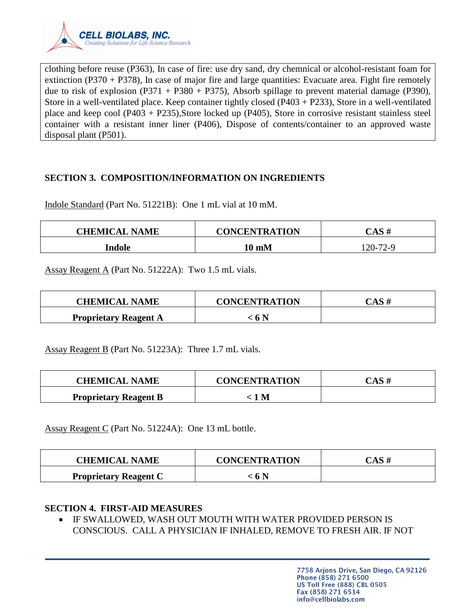

clothing before reuse (P363), In case of fire: use dry sand, dry chemnical or alcohol-resistant foam for extinction (P370 + P378), In case of major fire and large quantities: Evacuate area. Fight fire remotely due to risk of explosion (P371 + P380 + P375), Absorb spillage to prevent material damage (P390), Store in a well-ventilated place. Keep container tightly closed (P403 + P233), Store in a well-ventilated place and keep cool  $(P403 + P235)$ , Store locked up  $(P405)$ , Store in corrosive resistant stainless steel container with a resistant inner liner (P406), Dispose of contents/container to an approved waste disposal plant (P501).

## **SECTION 3. COMPOSITION/INFORMATION ON INGREDIENTS**

Indole Standard (Part No. 51221B): One 1 mL vial at 10 mM.

| <b>CHEMICAL NAME</b> | <b>CONCENTRATION</b> | CAS#     |
|----------------------|----------------------|----------|
| Indole               | 10 mM                | 120-72-9 |

Assay Reagent A (Part No. 51222A): Two 1.5 mL vials.

| <b>CHEMICAL NAME</b>         | <b>CONCENTRATION</b> | CAS# |
|------------------------------|----------------------|------|
| <b>Proprietary Reagent A</b> | : 6 N                |      |

Assay Reagent B (Part No. 51223A): Three 1.7 mL vials.

| <b>CHEMICAL NAME</b>         | <b>CONCENTRATION</b> | $\mathop{\mathsf{CAS}}$ # |
|------------------------------|----------------------|---------------------------|
| <b>Proprietary Reagent B</b> | 1 M                  |                           |

Assay Reagent C (Part No. 51224A): One 13 mL bottle.

| <b>CHEMICAL NAME</b>         | <b>CONCENTRATION</b> | CAS# |
|------------------------------|----------------------|------|
| <b>Proprietary Reagent C</b> | < 6 N                |      |

#### **SECTION 4. FIRST-AID MEASURES**

 IF SWALLOWED, WASH OUT MOUTH WITH WATER PROVIDED PERSON IS CONSCIOUS. CALL A PHYSICIAN IF INHALED, REMOVE TO FRESH AIR. IF NOT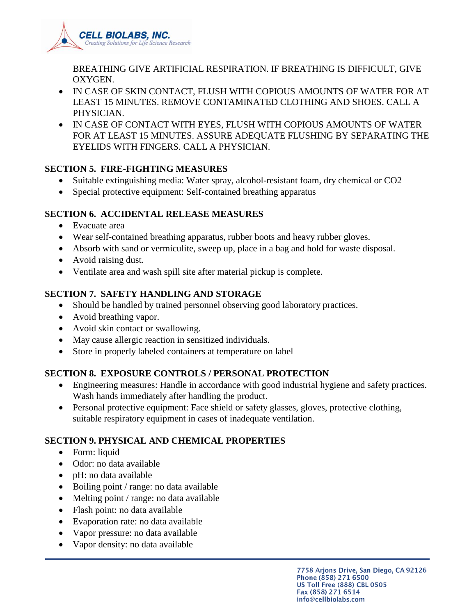

BREATHING GIVE ARTIFICIAL RESPIRATION. IF BREATHING IS DIFFICULT, GIVE OXYGEN.

- IN CASE OF SKIN CONTACT, FLUSH WITH COPIOUS AMOUNTS OF WATER FOR AT LEAST 15 MINUTES. REMOVE CONTAMINATED CLOTHING AND SHOES. CALL A PHYSICIAN.
- IN CASE OF CONTACT WITH EYES, FLUSH WITH COPIOUS AMOUNTS OF WATER FOR AT LEAST 15 MINUTES. ASSURE ADEQUATE FLUSHING BY SEPARATING THE EYELIDS WITH FINGERS. CALL A PHYSICIAN.

## **SECTION 5. FIRE-FIGHTING MEASURES**

- Suitable extinguishing media: Water spray, alcohol-resistant foam, dry chemical or CO2
- Special protective equipment: Self-contained breathing apparatus

# **SECTION 6. ACCIDENTAL RELEASE MEASURES**

- Evacuate area
- Wear self-contained breathing apparatus, rubber boots and heavy rubber gloves.
- Absorb with sand or vermiculite, sweep up, place in a bag and hold for waste disposal.
- Avoid raising dust.
- Ventilate area and wash spill site after material pickup is complete.

# **SECTION 7. SAFETY HANDLING AND STORAGE**

- Should be handled by trained personnel observing good laboratory practices.
- Avoid breathing vapor.
- Avoid skin contact or swallowing.
- May cause allergic reaction in sensitized individuals.
- Store in properly labeled containers at temperature on label

# **SECTION 8. EXPOSURE CONTROLS / PERSONAL PROTECTION**

- Engineering measures: Handle in accordance with good industrial hygiene and safety practices. Wash hands immediately after handling the product.
- Personal protective equipment: Face shield or safety glasses, gloves, protective clothing, suitable respiratory equipment in cases of inadequate ventilation.

# **SECTION 9. PHYSICAL AND CHEMICAL PROPERTIES**

- Form: liquid
- Odor: no data available
- pH: no data available
- Boiling point / range: no data available
- Melting point / range: no data available
- Flash point: no data available
- Evaporation rate: no data available
- Vapor pressure: no data available
- Vapor density: no data available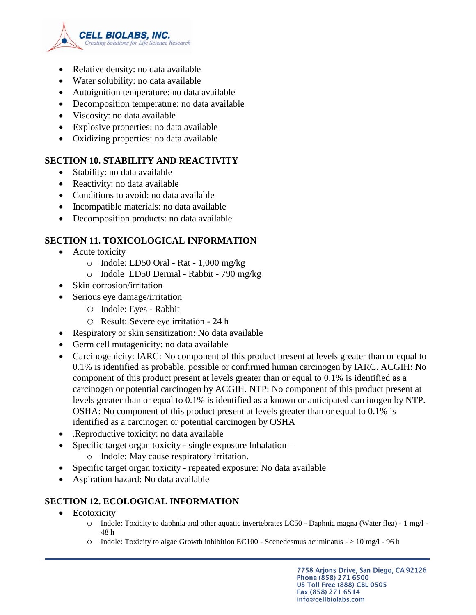

- Relative density: no data available
- Water solubility: no data available
- Autoignition temperature: no data available
- Decomposition temperature: no data available
- Viscosity: no data available
- Explosive properties: no data available
- Oxidizing properties: no data available

# **SECTION 10. STABILITY AND REACTIVITY**

- Stability: no data available
- Reactivity: no data available
- Conditions to avoid: no data available
- Incompatible materials: no data available
- Decomposition products: no data available

# **SECTION 11. TOXICOLOGICAL INFORMATION**

- Acute toxicity
	- o Indole: LD50 Oral Rat 1,000 mg/kg
	- o Indole LD50 Dermal Rabbit 790 mg/kg
- Skin corrosion/irritation
- Serious eye damage/irritation
	- o Indole: Eyes Rabbit
	- o Result: Severe eye irritation 24 h
- Respiratory or skin sensitization: No data available
- Germ cell mutagenicity: no data available
- Carcinogenicity: IARC: No component of this product present at levels greater than or equal to 0.1% is identified as probable, possible or confirmed human carcinogen by IARC. ACGIH: No component of this product present at levels greater than or equal to 0.1% is identified as a carcinogen or potential carcinogen by ACGIH. NTP: No component of this product present at levels greater than or equal to 0.1% is identified as a known or anticipated carcinogen by NTP. OSHA: No component of this product present at levels greater than or equal to 0.1% is identified as a carcinogen or potential carcinogen by OSHA
- .Reproductive toxicity: no data available
- Specific target organ toxicity single exposure Inhalation
	- o Indole: May cause respiratory irritation.
- Specific target organ toxicity repeated exposure: No data available
- Aspiration hazard: No data available

# **SECTION 12. ECOLOGICAL INFORMATION**

- Ecotoxicity
	- o Indole: Toxicity to daphnia and other aquatic invertebrates LC50 Daphnia magna (Water flea) 1 mg/l 48 h
	- $\circ$  Indole: Toxicity to algae Growth inhibition EC100 Scenedesmus acuminatus  $>$  10 mg/l 96 h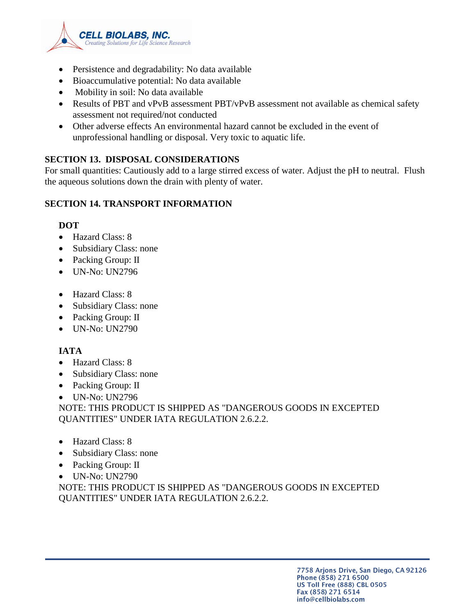

- Persistence and degradability: No data available
- Bioaccumulative potential: No data available
- Mobility in soil: No data available
- Results of PBT and vPvB assessment PBT/vPvB assessment not available as chemical safety assessment not required/not conducted
- Other adverse effects An environmental hazard cannot be excluded in the event of unprofessional handling or disposal. Very toxic to aquatic life.

## **SECTION 13. DISPOSAL CONSIDERATIONS**

For small quantities: Cautiously add to a large stirred excess of water. Adjust the pH to neutral. Flush the aqueous solutions down the drain with plenty of water.

# **SECTION 14. TRANSPORT INFORMATION**

#### **DOT**

- Hazard Class: 8
- Subsidiary Class: none
- Packing Group: II
- UN-No: UN2796
- Hazard Class: 8
- Subsidiary Class: none
- Packing Group: II
- UN-No: UN2790

# **IATA**

- Hazard Class: 8
- Subsidiary Class: none
- Packing Group: II
- UN-No: UN2796

NOTE: THIS PRODUCT IS SHIPPED AS "DANGEROUS GOODS IN EXCEPTED QUANTITIES" UNDER IATA REGULATION 2.6.2.2.

- Hazard Class: 8
- Subsidiary Class: none
- Packing Group: II
- UN-No: UN2790

NOTE: THIS PRODUCT IS SHIPPED AS "DANGEROUS GOODS IN EXCEPTED QUANTITIES" UNDER IATA REGULATION 2.6.2.2.